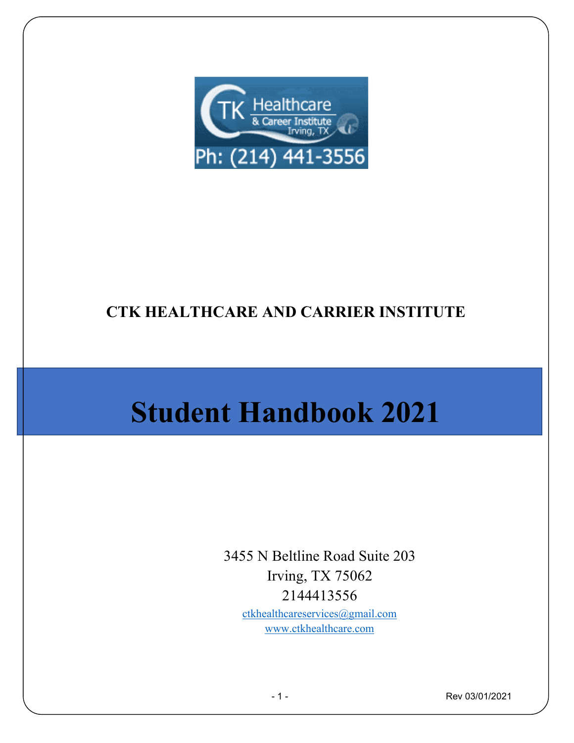

# **CTK HEALTHCARE AND CARRIER INSTITUTE**

# **Student Handbook 2021**

3455 N Beltline Road Suite 203 Irving, TX 75062 2144413556 [ctkhealthcareservices@gmail.com](mailto:ctkhealthcareservices@gmail.com) [www.ctkhealthcare.com](http://www.ctkhealthcare.com/)

- 1 - Rev 03/01/2021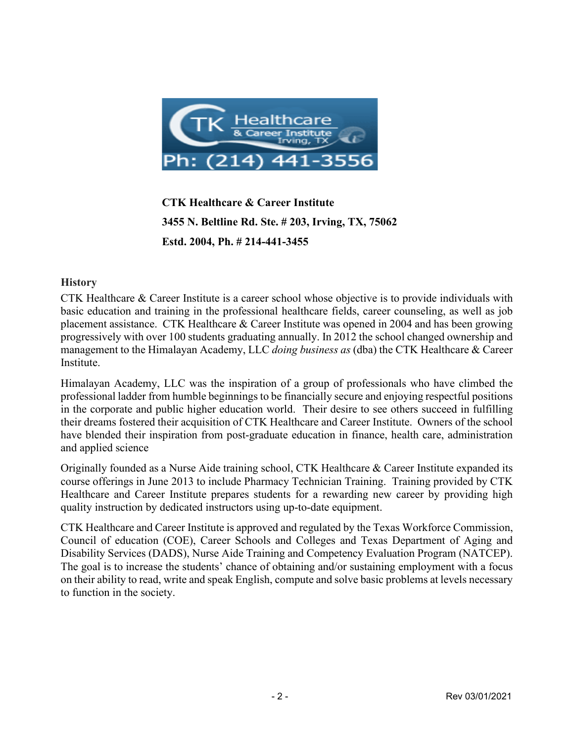

**CTK Healthcare & Career Institute 3455 N. Beltline Rd. Ste. # 203, Irving, TX, 75062 Estd. 2004, Ph. # 214-441-3455**

#### **History**

CTK Healthcare & Career Institute is a career school whose objective is to provide individuals with basic education and training in the professional healthcare fields, career counseling, as well as job placement assistance. CTK Healthcare & Career Institute was opened in 2004 and has been growing progressively with over 100 students graduating annually. In 2012 the school changed ownership and management to the Himalayan Academy, LLC *doing business as* (dba) the CTK Healthcare & Career Institute.

Himalayan Academy, LLC was the inspiration of a group of professionals who have climbed the professional ladder from humble beginnings to be financially secure and enjoying respectful positions in the corporate and public higher education world. Their desire to see others succeed in fulfilling their dreams fostered their acquisition of CTK Healthcare and Career Institute. Owners of the school have blended their inspiration from post-graduate education in finance, health care, administration and applied science

Originally founded as a Nurse Aide training school, CTK Healthcare & Career Institute expanded its course offerings in June 2013 to include Pharmacy Technician Training. Training provided by CTK Healthcare and Career Institute prepares students for a rewarding new career by providing high quality instruction by dedicated instructors using up-to-date equipment.

CTK Healthcare and Career Institute is approved and regulated by the Texas Workforce Commission, Council of education (COE), Career Schools and Colleges and Texas Department of Aging and Disability Services (DADS), Nurse Aide Training and Competency Evaluation Program (NATCEP). The goal is to increase the students' chance of obtaining and/or sustaining employment with a focus on their ability to read, write and speak English, compute and solve basic problems at levels necessary to function in the society.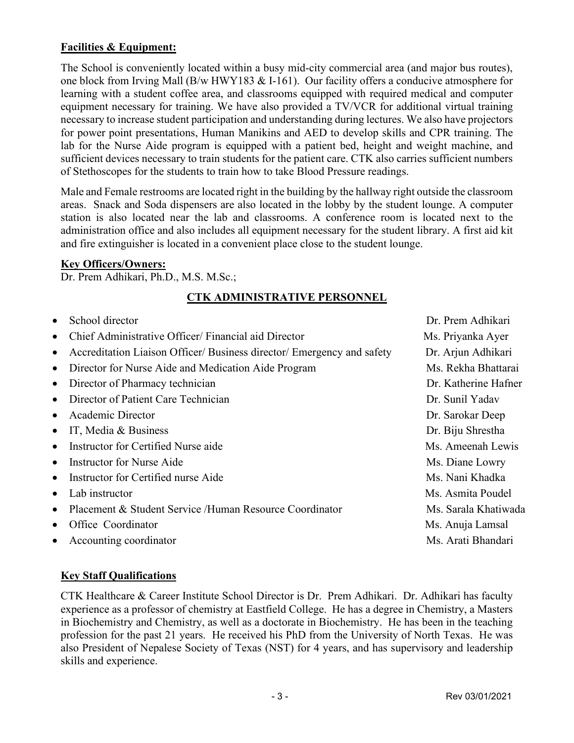# **Facilities & Equipment:**

The School is conveniently located within a busy mid-city commercial area (and major bus routes), one block from Irving Mall (B/w HWY183  $& 1$ -161). Our facility offers a conducive atmosphere for learning with a student coffee area, and classrooms equipped with required medical and computer equipment necessary for training. We have also provided a TV/VCR for additional virtual training necessary to increase student participation and understanding during lectures. We also have projectors for power point presentations, Human Manikins and AED to develop skills and CPR training. The lab for the Nurse Aide program is equipped with a patient bed, height and weight machine, and sufficient devices necessary to train students for the patient care. CTK also carries sufficient numbers of Stethoscopes for the students to train how to take Blood Pressure readings.

Male and Female restrooms are located right in the building by the hallway right outside the classroom areas. Snack and Soda dispensers are also located in the lobby by the student lounge. A computer station is also located near the lab and classrooms. A conference room is located next to the administration office and also includes all equipment necessary for the student library. A first aid kit and fire extinguisher is located in a convenient place close to the student lounge.

#### **Key Officers/Owners:**

Dr. Prem Adhikari, Ph.D., M.S. M.Sc.;

# **CTK ADMINISTRATIVE PERSONNEL**

- School director **Dr. Prem Adhikari**
- Chief Administrative Officer/ Financial aid Director Ms. Priyanka Ayer
- Accreditation Liaison Officer/ Business director/ Emergency and safety Dr. Arjun Adhikari
- Director for Nurse Aide and Medication Aide Program Ms. Rekha Bhattarai
- Director of Pharmacy technician **Dr. Katherine Hafner** Dr. Katherine Hafner
- Director of Patient Care Technician **Dr. Sunil Yadav** Dr. Sunil Yadav
- Academic Director Dr. Sarokar Deep
- IT, Media & Business **Dr. Biju Shrestha**
- Instructor for Certified Nurse aide Ms. Ameenah Lewis
- Instructor for Nurse Aide Ms. Diane Lowry
- Instructor for Certified nurse Aide Ms. Nani Khadka
- 
- Placement & Student Service /Human Resource Coordinator Ms. Sarala Khatiwada
- **Office Coordinator** Ms. Anuja Lamsal
- Accounting coordinator Ms. Arati Bhandari

• Lab instructor Ms. Asmita Poudel

### **Key Staff Qualifications**

CTK Healthcare & Career Institute School Director is Dr. Prem Adhikari. Dr. Adhikari has faculty experience as a professor of chemistry at Eastfield College. He has a degree in Chemistry, a Masters in Biochemistry and Chemistry, as well as a doctorate in Biochemistry. He has been in the teaching profession for the past 21 years. He received his PhD from the University of North Texas. He was also President of Nepalese Society of Texas (NST) for 4 years, and has supervisory and leadership skills and experience.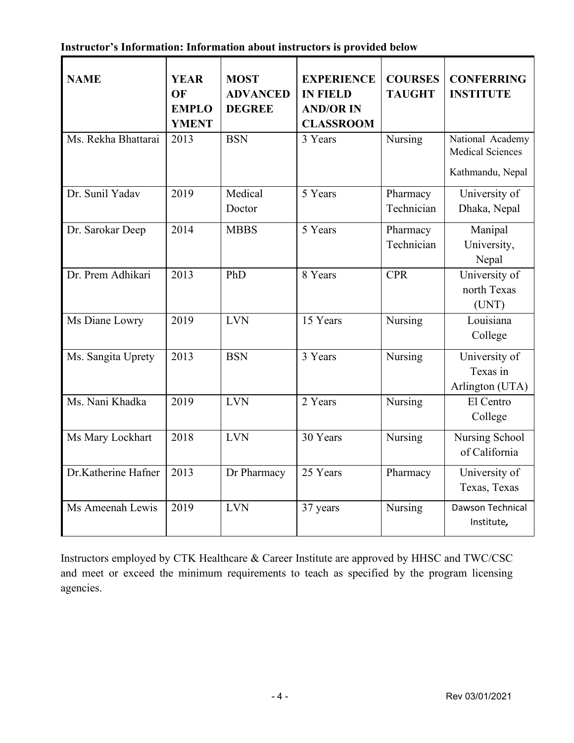|  |  | Instructor's Information: Information about instructors is provided below |  |  |  |  |  |
|--|--|---------------------------------------------------------------------------|--|--|--|--|--|
|--|--|---------------------------------------------------------------------------|--|--|--|--|--|

| <b>NAME</b>         | <b>YEAR</b><br>OF<br><b>EMPLO</b><br><b>YMENT</b> | <b>MOST</b><br><b>ADVANCED</b><br><b>DEGREE</b> | <b>EXPERIENCE</b><br><b>IN FIELD</b><br><b>AND/OR IN</b><br><b>CLASSROOM</b> | <b>COURSES</b><br><b>TAUGHT</b> | <b>CONFERRING</b><br><b>INSTITUTE</b>                           |
|---------------------|---------------------------------------------------|-------------------------------------------------|------------------------------------------------------------------------------|---------------------------------|-----------------------------------------------------------------|
| Ms. Rekha Bhattarai | 2013                                              | <b>BSN</b>                                      | 3 Years                                                                      | Nursing                         | National Academy<br><b>Medical Sciences</b><br>Kathmandu, Nepal |
| Dr. Sunil Yadav     | 2019                                              | Medical<br>Doctor                               | 5 Years                                                                      | Pharmacy<br>Technician          | University of<br>Dhaka, Nepal                                   |
| Dr. Sarokar Deep    | 2014                                              | <b>MBBS</b>                                     | 5 Years                                                                      | Pharmacy<br>Technician          | Manipal<br>University,<br>Nepal                                 |
| Dr. Prem Adhikari   | 2013                                              | PhD                                             | 8 Years                                                                      | <b>CPR</b>                      | University of<br>north Texas<br>(UNT)                           |
| Ms Diane Lowry      | 2019                                              | <b>LVN</b>                                      | 15 Years                                                                     | Nursing                         | Louisiana<br>College                                            |
| Ms. Sangita Uprety  | 2013                                              | <b>BSN</b>                                      | 3 Years                                                                      | Nursing                         | University of<br>Texas in<br>Arlington (UTA)                    |
| Ms. Nani Khadka     | 2019                                              | <b>LVN</b>                                      | 2 Years                                                                      | Nursing                         | El Centro<br>College                                            |
| Ms Mary Lockhart    | 2018                                              | <b>LVN</b>                                      | 30 Years                                                                     | Nursing                         | Nursing School<br>of California                                 |
| Dr.Katherine Hafner | 2013                                              | Dr Pharmacy                                     | 25 Years                                                                     | Pharmacy                        | University of<br>Texas, Texas                                   |
| Ms Ameenah Lewis    | 2019                                              | <b>LVN</b>                                      | 37 years                                                                     | Nursing                         | Dawson Technical<br>Institute,                                  |

Instructors employed by CTK Healthcare & Career Institute are approved by HHSC and TWC/CSC and meet or exceed the minimum requirements to teach as specified by the program licensing agencies.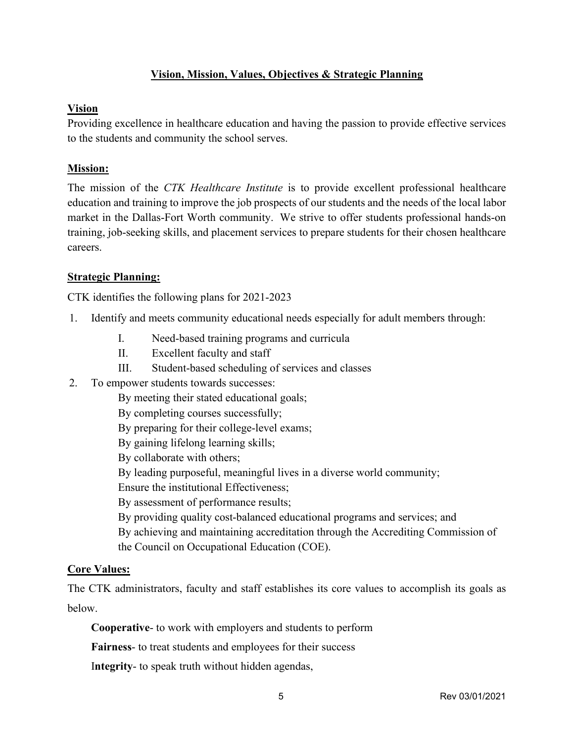# **Vision, Mission, Values, Objectives & Strategic Planning**

#### **Vision**

Providing excellence in healthcare education and having the passion to provide effective services to the students and community the school serves.

#### **Mission:**

The mission of the *CTK Healthcare Institute* is to provide excellent professional healthcare education and training to improve the job prospects of our students and the needs of the local labor market in the Dallas-Fort Worth community. We strive to offer students professional hands-on training, job-seeking skills, and placement services to prepare students for their chosen healthcare careers.

#### **Strategic Planning:**

CTK identifies the following plans for 2021-2023

- 1. Identify and meets community educational needs especially for adult members through:
	- I. Need-based training programs and curricula
	- II. Excellent faculty and staff
	- III. Student-based scheduling of services and classes
- 2. To empower students towards successes:
	- By meeting their stated educational goals;
	- By completing courses successfully;
	- By preparing for their college-level exams;
	- By gaining lifelong learning skills;
	- By collaborate with others;
	- By leading purposeful, meaningful lives in a diverse world community;
	- Ensure the institutional Effectiveness;
	- By assessment of performance results;
	- By providing quality cost-balanced educational programs and services; and
	- By achieving and maintaining accreditation through the Accrediting Commission of
	- the Council on Occupational Education (COE).

### **Core Values:**

The CTK administrators, faculty and staff establishes its core values to accomplish its goals as below.

**Cooperative**- to work with employers and students to perform

**Fairness**- to treat students and employees for their success

I**ntegrity**- to speak truth without hidden agendas,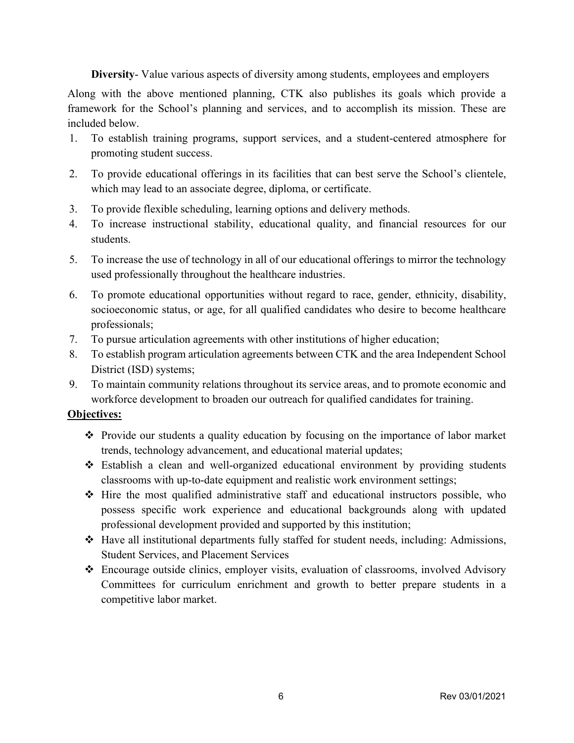**Diversity**- Value various aspects of diversity among students, employees and employers

Along with the above mentioned planning, CTK also publishes its goals which provide a framework for the School's planning and services, and to accomplish its mission. These are included below.

- 1. To establish training programs, support services, and a student-centered atmosphere for promoting student success.
- 2. To provide educational offerings in its facilities that can best serve the School's clientele, which may lead to an associate degree, diploma, or certificate.
- 3. To provide flexible scheduling, learning options and delivery methods.
- 4. To increase instructional stability, educational quality, and financial resources for our students.
- 5. To increase the use of technology in all of our educational offerings to mirror the technology used professionally throughout the healthcare industries.
- 6. To promote educational opportunities without regard to race, gender, ethnicity, disability, socioeconomic status, or age, for all qualified candidates who desire to become healthcare professionals;
- 7. To pursue articulation agreements with other institutions of higher education;
- 8. To establish program articulation agreements between CTK and the area Independent School District (ISD) systems;
- 9. To maintain community relations throughout its service areas, and to promote economic and workforce development to broaden our outreach for qualified candidates for training.

### **Objectives:**

- $\hat{\mathbf{v}}$  Provide our students a quality education by focusing on the importance of labor market trends, technology advancement, and educational material updates;
- Establish a clean and well-organized educational environment by providing students classrooms with up-to-date equipment and realistic work environment settings;
- $\triangle$  Hire the most qualified administrative staff and educational instructors possible, who possess specific work experience and educational backgrounds along with updated professional development provided and supported by this institution;
- Have all institutional departments fully staffed for student needs, including: Admissions, Student Services, and Placement Services
- Encourage outside clinics, employer visits, evaluation of classrooms, involved Advisory Committees for curriculum enrichment and growth to better prepare students in a competitive labor market.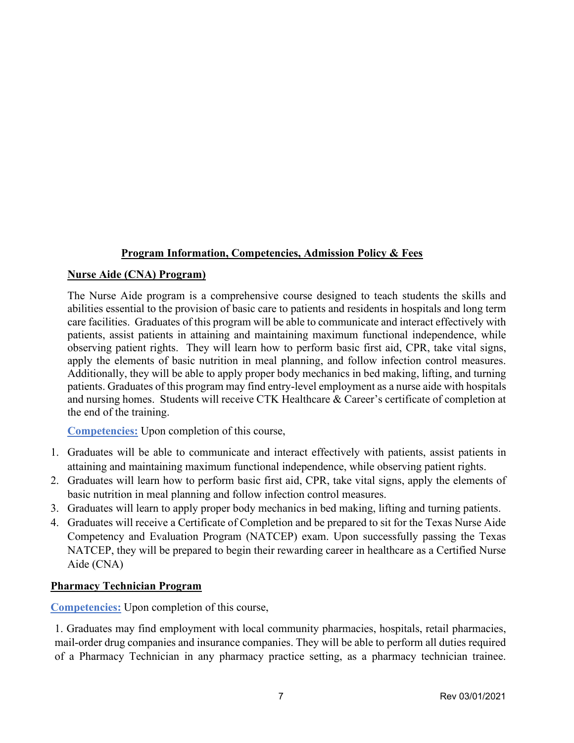### **Program Information, Competencies, Admission Policy & Fees**

#### **Nurse Aide (CNA) Program)**

The Nurse Aide program is a comprehensive course designed to teach students the skills and abilities essential to the provision of basic care to patients and residents in hospitals and long term care facilities. Graduates of this program will be able to communicate and interact effectively with patients, assist patients in attaining and maintaining maximum functional independence, while observing patient rights. They will learn how to perform basic first aid, CPR, take vital signs, apply the elements of basic nutrition in meal planning, and follow infection control measures. Additionally, they will be able to apply proper body mechanics in bed making, lifting, and turning patients. Graduates of this program may find entry-level employment as a nurse aide with hospitals and nursing homes. Students will receive CTK Healthcare & Career's certificate of completion at the end of the training.

**Competencies:** Upon completion of this course,

- 1. Graduates will be able to communicate and interact effectively with patients, assist patients in attaining and maintaining maximum functional independence, while observing patient rights.
- 2. Graduates will learn how to perform basic first aid, CPR, take vital signs, apply the elements of basic nutrition in meal planning and follow infection control measures.
- 3. Graduates will learn to apply proper body mechanics in bed making, lifting and turning patients.
- 4. Graduates will receive a Certificate of Completion and be prepared to sit for the Texas Nurse Aide Competency and Evaluation Program (NATCEP) exam. Upon successfully passing the Texas NATCEP, they will be prepared to begin their rewarding career in healthcare as a Certified Nurse Aide (CNA)

### **Pharmacy Technician Program**

**Competencies:** Upon completion of this course,

1. Graduates may find employment with local community pharmacies, hospitals, retail pharmacies, mail-order drug companies and insurance companies. They will be able to perform all duties required of a Pharmacy Technician in any pharmacy practice setting, as a pharmacy technician trainee.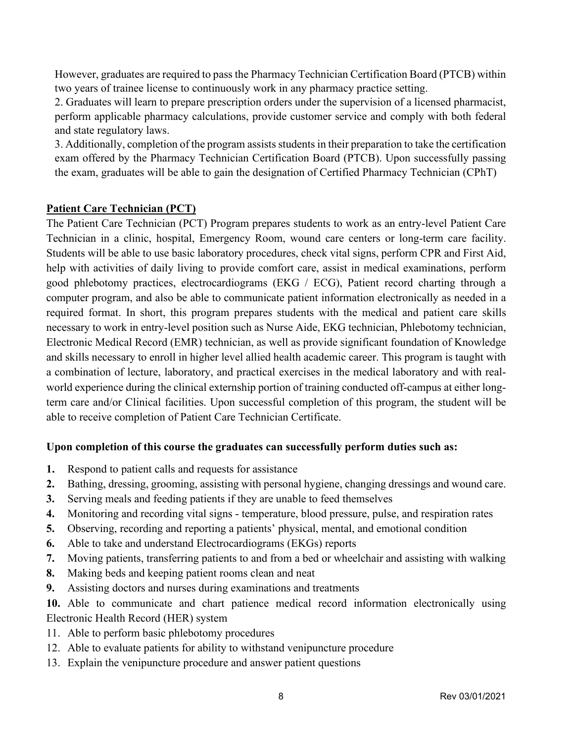However, graduates are required to pass the Pharmacy Technician Certification Board (PTCB) within two years of trainee license to continuously work in any pharmacy practice setting.

2. Graduates will learn to prepare prescription orders under the supervision of a licensed pharmacist, perform applicable pharmacy calculations, provide customer service and comply with both federal and state regulatory laws.

3. Additionally, completion of the program assists students in their preparation to take the certification exam offered by the Pharmacy Technician Certification Board (PTCB). Upon successfully passing the exam, graduates will be able to gain the designation of Certified Pharmacy Technician (CPhT)

### **Patient Care Technician (PCT)**

The Patient Care Technician (PCT) Program prepares students to work as an entry-level Patient Care Technician in a clinic, hospital, Emergency Room, wound care centers or long-term care facility. Students will be able to use basic laboratory procedures, check vital signs, perform CPR and First Aid, help with activities of daily living to provide comfort care, assist in medical examinations, perform good phlebotomy practices, electrocardiograms (EKG / ECG), Patient record charting through a computer program, and also be able to communicate patient information electronically as needed in a required format. In short, this program prepares students with the medical and patient care skills necessary to work in entry-level position such as Nurse Aide, EKG technician, Phlebotomy technician, Electronic Medical Record (EMR) technician, as well as provide significant foundation of Knowledge and skills necessary to enroll in higher level allied health academic career. This program is taught with a combination of lecture, laboratory, and practical exercises in the medical laboratory and with realworld experience during the clinical externship portion of training conducted off-campus at either longterm care and/or Clinical facilities. Upon successful completion of this program, the student will be able to receive completion of Patient Care Technician Certificate.

### **Upon completion of this course the graduates can successfully perform duties such as:**

- **1.** Respond to patient calls and requests for assistance
- **2.** Bathing, dressing, grooming, assisting with personal hygiene, changing dressings and wound care.
- **3.** Serving meals and feeding patients if they are unable to feed themselves
- **4.** Monitoring and recording vital signs temperature, blood pressure, pulse, and respiration rates
- **5.** Observing, recording and reporting a patients' physical, mental, and emotional condition
- **6.** Able to take and understand Electrocardiograms (EKGs) reports
- **7.** Moving patients, transferring patients to and from a bed or wheelchair and assisting with walking
- **8.** Making beds and keeping patient rooms clean and neat
- **9.** Assisting doctors and nurses during examinations and treatments
- **10.** Able to communicate and chart patience medical record information electronically using Electronic Health Record (HER) system
- 11. Able to perform basic phlebotomy procedures
- 12. Able to evaluate patients for ability to withstand venipuncture procedure
- 13. Explain the venipuncture procedure and answer patient questions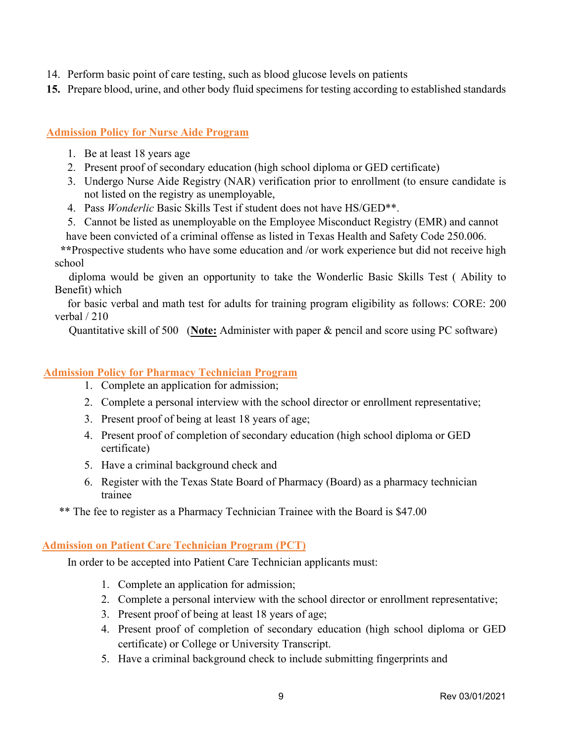- 14. Perform basic point of care testing, such as blood glucose levels on patients
- **15.** Prepare blood, urine, and other body fluid specimens for testing according to established standards

#### **Admission Policy for Nurse Aide Program**

- 1. Be at least 18 years age
- 2. Present proof of secondary education (high school diploma or GED certificate)
- 3. Undergo Nurse Aide Registry (NAR) verification prior to enrollment (to ensure candidate is not listed on the registry as unemployable,
- 4. Pass *Wonderlic* Basic Skills Test if student does not have HS/GED\*\*.
- 5. Cannot be listed as unemployable on the Employee Misconduct Registry (EMR) and cannot

have been convicted of a criminal offense as listed in Texas Health and Safety Code 250.006.

 **\*\***Prospective students who have some education and /or work experience but did not receive high school

diploma would be given an opportunity to take the Wonderlic Basic Skills Test ( Ability to Benefit) which

for basic verbal and math test for adults for training program eligibility as follows: CORE: 200 verbal / 210

Quantitative skill of 500 (**Note:** Administer with paper & pencil and score using PC software)

#### **Admission Policy for Pharmacy Technician Program**

- 1. Complete an application for admission;
- 2. Complete a personal interview with the school director or enrollment representative;
- 3. Present proof of being at least 18 years of age;
- 4. Present proof of completion of secondary education (high school diploma or GED certificate)
- 5. Have a criminal background check and
- 6. Register with the Texas State Board of Pharmacy (Board) as a pharmacy technician trainee

\*\* The fee to register as a Pharmacy Technician Trainee with the Board is \$47.00

#### **Admission on Patient Care Technician Program (PCT)**

In order to be accepted into Patient Care Technician applicants must:

- 1. Complete an application for admission;
- 2. Complete a personal interview with the school director or enrollment representative;
- 3. Present proof of being at least 18 years of age;
- 4. Present proof of completion of secondary education (high school diploma or GED certificate) or College or University Transcript.
- 5. Have a criminal background check to include submitting fingerprints and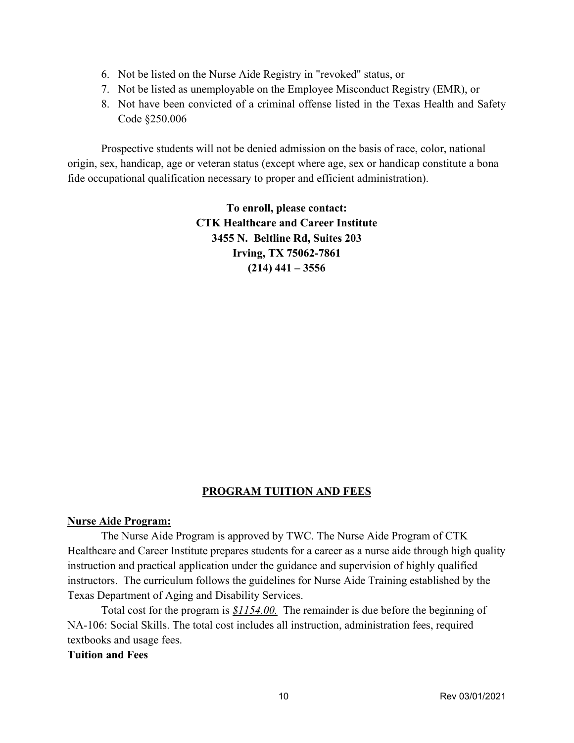- 6. Not be listed on the Nurse Aide Registry in "revoked" status, or
- 7. Not be listed as unemployable on the Employee Misconduct Registry (EMR), or
- 8. Not have been convicted of a criminal offense listed in the Texas Health and Safety Code §250.006

Prospective students will not be denied admission on the basis of race, color, national origin, sex, handicap, age or veteran status (except where age, sex or handicap constitute a bona fide occupational qualification necessary to proper and efficient administration).

> **To enroll, please contact: CTK Healthcare and Career Institute 3455 N. Beltline Rd, Suites 203 Irving, TX 75062-7861 (214) 441 – 3556**

### **PROGRAM TUITION AND FEES**

#### **Nurse Aide Program:**

The Nurse Aide Program is approved by TWC. The Nurse Aide Program of CTK Healthcare and Career Institute prepares students for a career as a nurse aide through high quality instruction and practical application under the guidance and supervision of highly qualified instructors. The curriculum follows the guidelines for Nurse Aide Training established by the Texas Department of Aging and Disability Services.

Total cost for the program is *\$1154.00.* The remainder is due before the beginning of NA-106: Social Skills. The total cost includes all instruction, administration fees, required textbooks and usage fees.

#### **Tuition and Fees**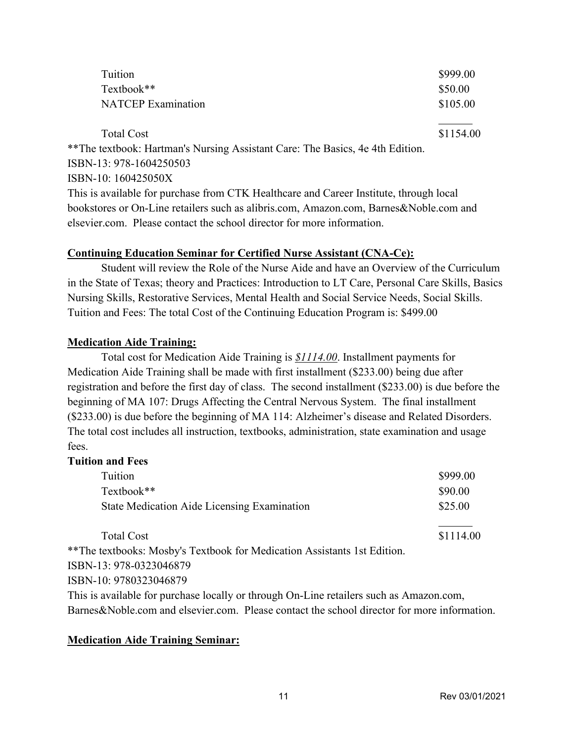| Tuition                                                                                | \$999.00  |  |
|----------------------------------------------------------------------------------------|-----------|--|
| Textbook**                                                                             | \$50.00   |  |
| <b>NATCEP</b> Examination                                                              | \$105.00  |  |
|                                                                                        |           |  |
| <b>Total Cost</b>                                                                      | \$1154.00 |  |
| ** The textbook: Hartman's Nursing Assistant Care: The Basics, 4e 4th Edition.         |           |  |
| ISBN-13: 978-1604250503                                                                |           |  |
| ISBN-10: 160425050X                                                                    |           |  |
| This is available for purchase from CTK Healthcare and Career Institute, through local |           |  |
| bookstores or On-Line retailers such as alibris.com, Amazon.com, Barnes&Noble.com and  |           |  |

#### **Continuing Education Seminar for Certified Nurse Assistant (CNA-Ce):**

elsevier.com. Please contact the school director for more information.

Student will review the Role of the Nurse Aide and have an Overview of the Curriculum in the State of Texas; theory and Practices: Introduction to LT Care, Personal Care Skills, Basics Nursing Skills, Restorative Services, Mental Health and Social Service Needs, Social Skills. Tuition and Fees: The total Cost of the Continuing Education Program is: \$499.00

#### **Medication Aide Training:**

Total cost for Medication Aide Training is *\$1114.00*. Installment payments for Medication Aide Training shall be made with first installment (\$233.00) being due after registration and before the first day of class. The second installment (\$233.00) is due before the beginning of MA 107: Drugs Affecting the Central Nervous System. The final installment (\$233.00) is due before the beginning of MA 114: Alzheimer's disease and Related Disorders. The total cost includes all instruction, textbooks, administration, state examination and usage fees.

# **Tuition and Fees**

| Tuition                                            | \$999.00 |
|----------------------------------------------------|----------|
| Textbook**                                         | \$90.00  |
| <b>State Medication Aide Licensing Examination</b> | \$25.00  |
|                                                    |          |

Total Cost \$1114.00 \*\*The textbooks: Mosby's Textbook for Medication Assistants 1st Edition. ISBN-13: 978-0323046879 ISBN-10: 9780323046879

This is available for purchase locally or through On-Line retailers such as Amazon.com, Barnes&Noble.com and elsevier.com. Please contact the school director for more information.

#### **Medication Aide Training Seminar:**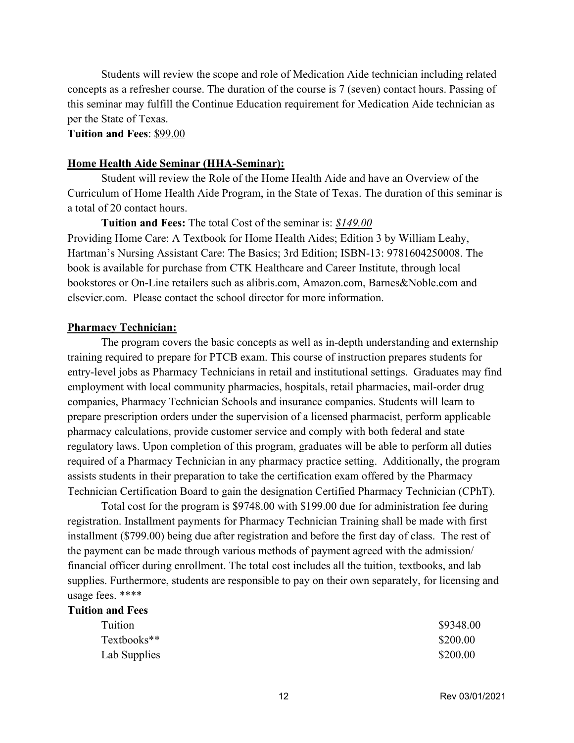Students will review the scope and role of Medication Aide technician including related concepts as a refresher course. The duration of the course is 7 (seven) contact hours. Passing of this seminar may fulfill the Continue Education requirement for Medication Aide technician as per the State of Texas.

#### **Tuition and Fees**: \$99.00

#### **Home Health Aide Seminar (HHA-Seminar):**

Student will review the Role of the Home Health Aide and have an Overview of the Curriculum of Home Health Aide Program, in the State of Texas. The duration of this seminar is a total of 20 contact hours.

#### **Tuition and Fees:** The total Cost of the seminar is: *\$149.00*

Providing Home Care: A Textbook for Home Health Aides; Edition 3 by William Leahy, Hartman's Nursing Assistant Care: The Basics; 3rd Edition; ISBN-13: 9781604250008. The book is available for purchase from CTK Healthcare and Career Institute, through local bookstores or On-Line retailers such as alibris.com, Amazon.com, Barnes&Noble.com and elsevier.com. Please contact the school director for more information.

#### **Pharmacy Technician:**

The program covers the basic concepts as well as in-depth understanding and externship training required to prepare for PTCB exam. This course of instruction prepares students for entry-level jobs as Pharmacy Technicians in retail and institutional settings. Graduates may find employment with local community pharmacies, hospitals, retail pharmacies, mail-order drug companies, Pharmacy Technician Schools and insurance companies. Students will learn to prepare prescription orders under the supervision of a licensed pharmacist, perform applicable pharmacy calculations, provide customer service and comply with both federal and state regulatory laws. Upon completion of this program, graduates will be able to perform all duties required of a Pharmacy Technician in any pharmacy practice setting. Additionally, the program assists students in their preparation to take the certification exam offered by the Pharmacy Technician Certification Board to gain the designation Certified Pharmacy Technician (CPhT).

Total cost for the program is \$9748.00 with \$199.00 due for administration fee during registration. Installment payments for Pharmacy Technician Training shall be made with first installment (\$799.00) being due after registration and before the first day of class. The rest of the payment can be made through various methods of payment agreed with the admission/ financial officer during enrollment. The total cost includes all the tuition, textbooks, and lab supplies. Furthermore, students are responsible to pay on their own separately, for licensing and usage fees. \*\*\*\*

# **Tuition and Fees** Tuition S9348.00 Textbooks\*\*  $\$200.00$ Lab Supplies  $\$200.00$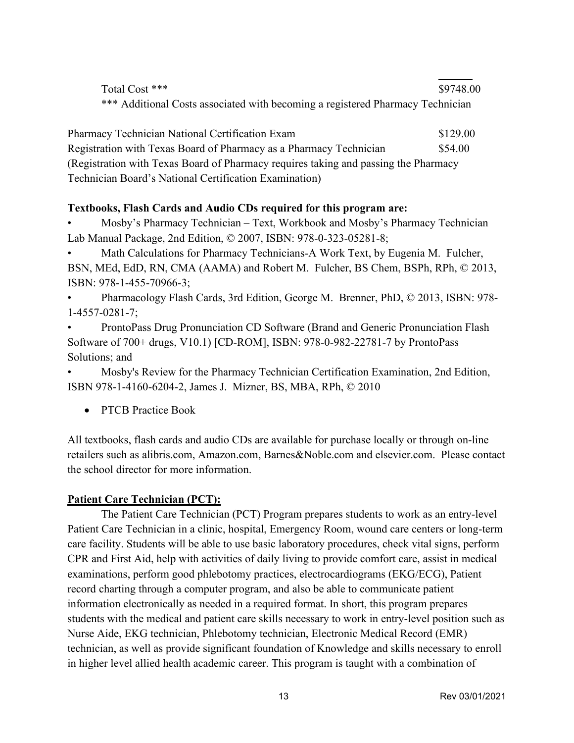| Total Cost ***                                                                 | \$9748.00 |
|--------------------------------------------------------------------------------|-----------|
| *** Additional Costs associated with becoming a registered Pharmacy Technician |           |

| Pharmacy Technician National Certification Exam                                     | \$129.00 |
|-------------------------------------------------------------------------------------|----------|
| Registration with Texas Board of Pharmacy as a Pharmacy Technician                  | \$54.00  |
| (Registration with Texas Board of Pharmacy requires taking and passing the Pharmacy |          |
| Technician Board's National Certification Examination)                              |          |

### **Textbooks, Flash Cards and Audio CDs required for this program are:**

• Mosby's Pharmacy Technician – Text, Workbook and Mosby's Pharmacy Technician Lab Manual Package, 2nd Edition, © 2007, ISBN: 978-0-323-05281-8;

Math Calculations for Pharmacy Technicians-A Work Text, by Eugenia M. Fulcher, BSN, MEd, EdD, RN, CMA (AAMA) and Robert M. Fulcher, BS Chem, BSPh, RPh, © 2013, ISBN: 978-1-455-70966-3;

• Pharmacology Flash Cards, 3rd Edition, George M. Brenner, PhD, © 2013, ISBN: 978- 1-4557-0281-7;

• ProntoPass Drug Pronunciation CD Software (Brand and Generic Pronunciation Flash Software of 700+ drugs, V10.1) [CD-ROM], ISBN: 978-0-982-22781-7 by ProntoPass Solutions; and

• Mosby's Review for the Pharmacy Technician Certification Examination, 2nd Edition, ISBN 978-1-4160-6204-2, James J. Mizner, BS, MBA, RPh, © 2010

• PTCB Practice Book

All textbooks, flash cards and audio CDs are available for purchase locally or through on-line retailers such as alibris.com, Amazon.com, Barnes&Noble.com and elsevier.com. Please contact the school director for more information.

### **Patient Care Technician (PCT):**

The Patient Care Technician (PCT) Program prepares students to work as an entry-level Patient Care Technician in a clinic, hospital, Emergency Room, wound care centers or long-term care facility. Students will be able to use basic laboratory procedures, check vital signs, perform CPR and First Aid, help with activities of daily living to provide comfort care, assist in medical examinations, perform good phlebotomy practices, electrocardiograms (EKG/ECG), Patient record charting through a computer program, and also be able to communicate patient information electronically as needed in a required format. In short, this program prepares students with the medical and patient care skills necessary to work in entry-level position such as Nurse Aide, EKG technician, Phlebotomy technician, Electronic Medical Record (EMR) technician, as well as provide significant foundation of Knowledge and skills necessary to enroll in higher level allied health academic career. This program is taught with a combination of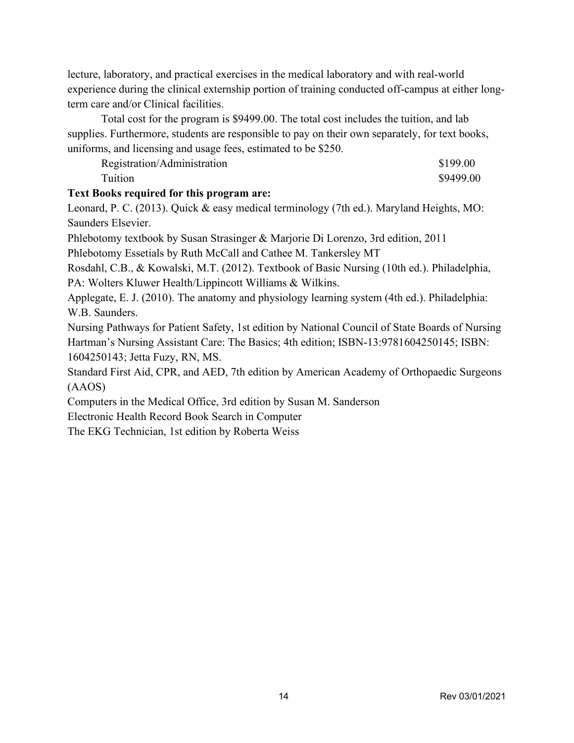lecture, laboratory, and practical exercises in the medical laboratory and with real-world experience during the clinical externship portion of training conducted off-campus at either longterm care and/or Clinical facilities.

Total cost for the program is \$9499.00. The total cost includes the tuition, and lab supplies. Furthermore, students are responsible to pay on their own separately, for text books, uniforms, and licensing and usage fees, estimated to be \$250.

| Registration/Administration | \$199.00  |
|-----------------------------|-----------|
| Tuition                     | \$9499.00 |

#### **Text Books required for this program are:**

Leonard, P. C. (2013). Quick & easy medical terminology (7th ed.). Maryland Heights, MO: Saunders Elsevier.

Phlebotomy textbook by Susan Strasinger & Marjorie Di Lorenzo, 3rd edition, 2011

Phlebotomy Essetials by Ruth McCall and Cathee M. Tankersley MT

Rosdahl, C.B., & Kowalski, M.T. (2012). Textbook of Basic Nursing (10th ed.). Philadelphia, PA: Wolters Kluwer Health/Lippincott Williams & Wilkins.

Applegate, E. J. (2010). The anatomy and physiology learning system (4th ed.). Philadelphia: W.B. Saunders.

Nursing Pathways for Patient Safety, 1st edition by National Council of State Boards of Nursing Hartman's Nursing Assistant Care: The Basics; 4th edition; ISBN-13:9781604250145; ISBN: 1604250143; Jetta Fuzy, RN, MS.

Standard First Aid, CPR, and AED, 7th edition by American Academy of Orthopaedic Surgeons (AAOS)

Computers in the Medical Office, 3rd edition by Susan M. Sanderson

Electronic Health Record Book Search in Computer

The EKG Technician, 1st edition by Roberta Weiss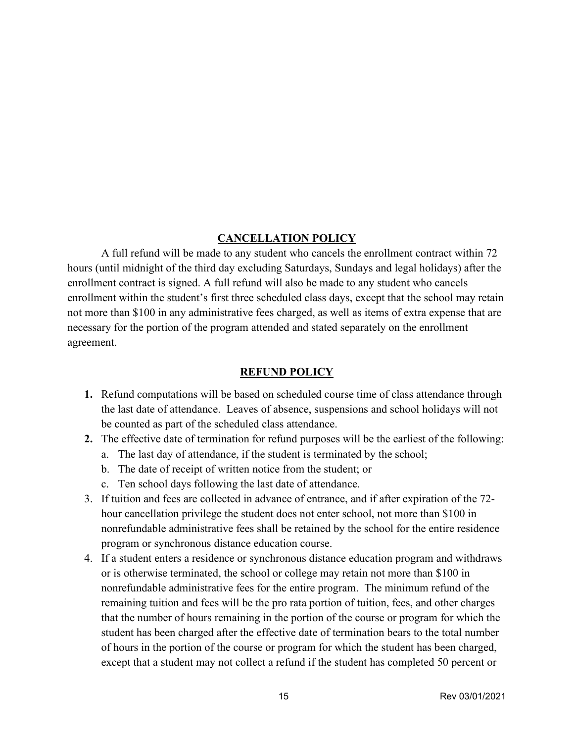#### **CANCELLATION POLICY**

A full refund will be made to any student who cancels the enrollment contract within 72 hours (until midnight of the third day excluding Saturdays, Sundays and legal holidays) after the enrollment contract is signed. A full refund will also be made to any student who cancels enrollment within the student's first three scheduled class days, except that the school may retain not more than \$100 in any administrative fees charged, as well as items of extra expense that are necessary for the portion of the program attended and stated separately on the enrollment agreement.

#### **REFUND POLICY**

- **1.** Refund computations will be based on scheduled course time of class attendance through the last date of attendance. Leaves of absence, suspensions and school holidays will not be counted as part of the scheduled class attendance.
- **2.** The effective date of termination for refund purposes will be the earliest of the following:
	- a. The last day of attendance, if the student is terminated by the school;
	- b. The date of receipt of written notice from the student; or
	- c. Ten school days following the last date of attendance.
- 3. If tuition and fees are collected in advance of entrance, and if after expiration of the 72 hour cancellation privilege the student does not enter school, not more than \$100 in nonrefundable administrative fees shall be retained by the school for the entire residence program or synchronous distance education course.
- 4. If a student enters a residence or synchronous distance education program and withdraws or is otherwise terminated, the school or college may retain not more than \$100 in nonrefundable administrative fees for the entire program. The minimum refund of the remaining tuition and fees will be the pro rata portion of tuition, fees, and other charges that the number of hours remaining in the portion of the course or program for which the student has been charged after the effective date of termination bears to the total number of hours in the portion of the course or program for which the student has been charged, except that a student may not collect a refund if the student has completed 50 percent or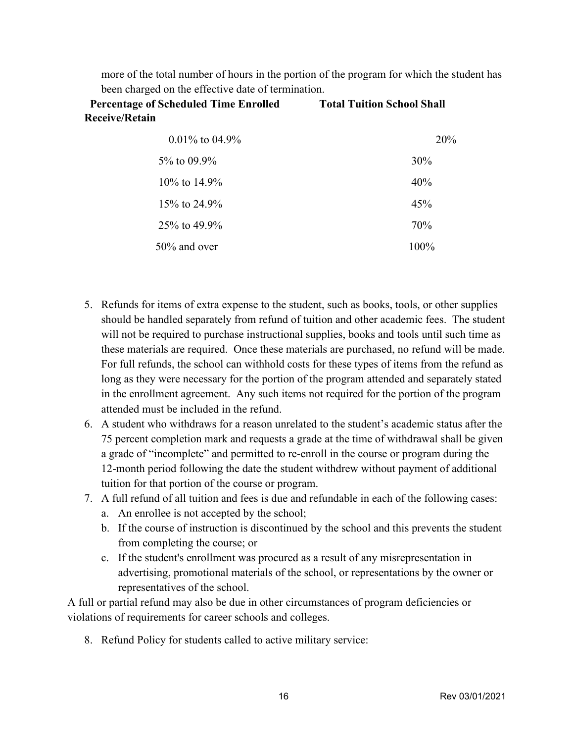more of the total number of hours in the portion of the program for which the student has been charged on the effective date of termination.

**Percentage of Scheduled Time Enrolled Total Tuition School Shall Receive/Retain**

| $0.01\%$ to $04.9\%$ | 20%    |
|----------------------|--------|
| $5\%$ to 09.9%       | $30\%$ |
| $10\%$ to 14.9%      | 40%    |
| 15\% to 24.9\%       | 45%    |
| $25\%$ to 49.9%      | 70%    |
| 50% and over         | 100%   |

- 5. Refunds for items of extra expense to the student, such as books, tools, or other supplies should be handled separately from refund of tuition and other academic fees. The student will not be required to purchase instructional supplies, books and tools until such time as these materials are required. Once these materials are purchased, no refund will be made. For full refunds, the school can withhold costs for these types of items from the refund as long as they were necessary for the portion of the program attended and separately stated in the enrollment agreement. Any such items not required for the portion of the program attended must be included in the refund.
- 6. A student who withdraws for a reason unrelated to the student's academic status after the 75 percent completion mark and requests a grade at the time of withdrawal shall be given a grade of "incomplete" and permitted to re-enroll in the course or program during the 12-month period following the date the student withdrew without payment of additional tuition for that portion of the course or program.
- 7. A full refund of all tuition and fees is due and refundable in each of the following cases:
	- a. An enrollee is not accepted by the school;
	- b. If the course of instruction is discontinued by the school and this prevents the student from completing the course; or
	- c. If the student's enrollment was procured as a result of any misrepresentation in advertising, promotional materials of the school, or representations by the owner or representatives of the school.

A full or partial refund may also be due in other circumstances of program deficiencies or violations of requirements for career schools and colleges.

8. Refund Policy for students called to active military service: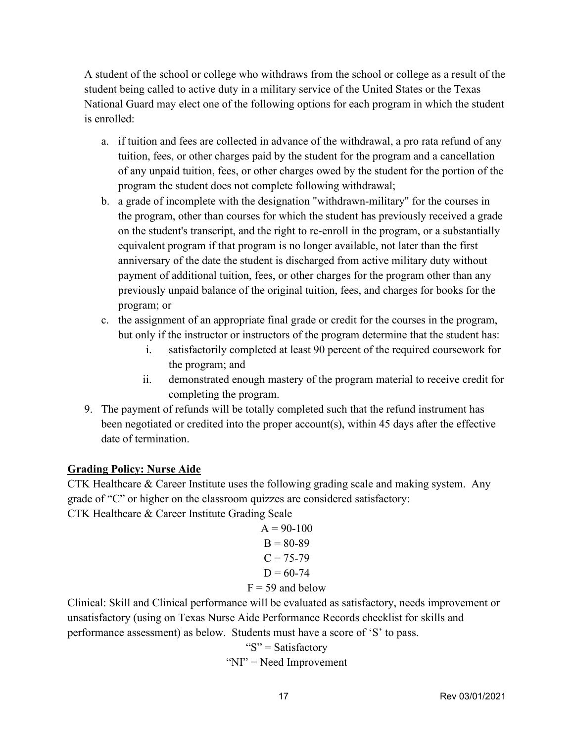A student of the school or college who withdraws from the school or college as a result of the student being called to active duty in a military service of the United States or the Texas National Guard may elect one of the following options for each program in which the student is enrolled:

- a. if tuition and fees are collected in advance of the withdrawal, a pro rata refund of any tuition, fees, or other charges paid by the student for the program and a cancellation of any unpaid tuition, fees, or other charges owed by the student for the portion of the program the student does not complete following withdrawal;
- b. a grade of incomplete with the designation "withdrawn-military" for the courses in the program, other than courses for which the student has previously received a grade on the student's transcript, and the right to re-enroll in the program, or a substantially equivalent program if that program is no longer available, not later than the first anniversary of the date the student is discharged from active military duty without payment of additional tuition, fees, or other charges for the program other than any previously unpaid balance of the original tuition, fees, and charges for books for the program; or
- c. the assignment of an appropriate final grade or credit for the courses in the program, but only if the instructor or instructors of the program determine that the student has:
	- i. satisfactorily completed at least 90 percent of the required coursework for the program; and
	- ii. demonstrated enough mastery of the program material to receive credit for completing the program.
- 9. The payment of refunds will be totally completed such that the refund instrument has been negotiated or credited into the proper account(s), within 45 days after the effective date of termination.

# **Grading Policy: Nurse Aide**

CTK Healthcare & Career Institute uses the following grading scale and making system. Any grade of "C" or higher on the classroom quizzes are considered satisfactory: CTK Healthcare & Career Institute Grading Scale

$$
A = 90-100B = 80-89C = 75-79D = 60-74F = 59 and below
$$

Clinical: Skill and Clinical performance will be evaluated as satisfactory, needs improvement or unsatisfactory (using on Texas Nurse Aide Performance Records checklist for skills and performance assessment) as below. Students must have a score of 'S' to pass.

> " $S$ " = Satisfactory "NI" = Need Improvement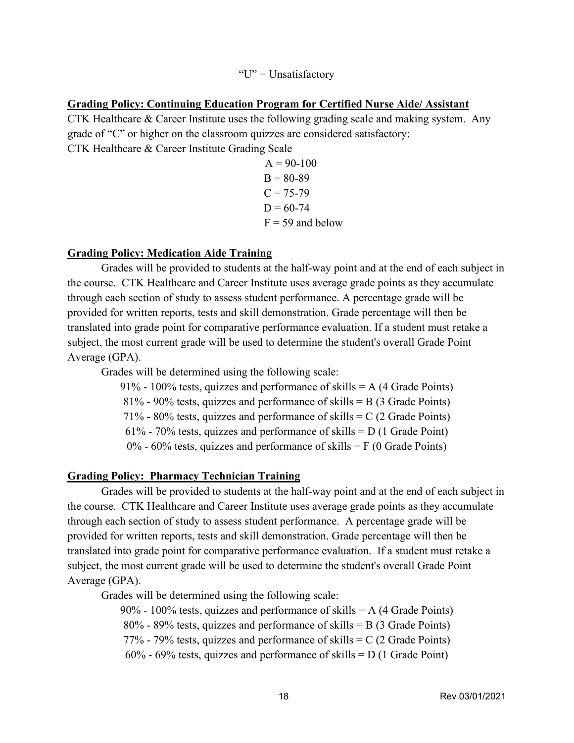#### "U" = Unsatisfactory

#### **Grading Policy: Continuing Education Program for Certified Nurse Aide/ Assistant**

CTK Healthcare & Career Institute uses the following grading scale and making system. Any grade of "C" or higher on the classroom quizzes are considered satisfactory: CTK Healthcare & Career Institute Grading Scale

> $A = 90-100$  $B = 80-89$  $C = 75 - 79$  $D = 60 - 74$  $F = 59$  and below

#### **Grading Policy: Medication Aide Training**

Grades will be provided to students at the half-way point and at the end of each subject in the course. CTK Healthcare and Career Institute uses average grade points as they accumulate through each section of study to assess student performance. A percentage grade will be provided for written reports, tests and skill demonstration. Grade percentage will then be translated into grade point for comparative performance evaluation. If a student must retake a subject, the most current grade will be used to determine the student's overall Grade Point Average (GPA).

Grades will be determined using the following scale:

91% - 100% tests, quizzes and performance of skills  $= A (4 \text{ Grade Points})$ 

 $81\%$  - 90% tests, quizzes and performance of skills = B (3 Grade Points)

71% - 80% tests, quizzes and performance of skills  $= C (2 \text{ Grade Points})$ 

61% - 70% tests, quizzes and performance of skills  $= D (1 \text{ Grade Point})$ 

 $0\%$  - 60% tests, quizzes and performance of skills = F (0 Grade Points)

#### **Grading Policy: Pharmacy Technician Training**

Grades will be provided to students at the half-way point and at the end of each subject in the course. CTK Healthcare and Career Institute uses average grade points as they accumulate through each section of study to assess student performance. A percentage grade will be provided for written reports, tests and skill demonstration. Grade percentage will then be translated into grade point for comparative performance evaluation. If a student must retake a subject, the most current grade will be used to determine the student's overall Grade Point Average (GPA).

Grades will be determined using the following scale:

90% - 100% tests, quizzes and performance of skills  $= A(4 \text{ Grade Points})$  $80\%$  - 89% tests, quizzes and performance of skills = B (3 Grade Points) 77% - 79% tests, quizzes and performance of skills  $= C (2 \text{ Grade Points})$  $60\%$  - 69% tests, quizzes and performance of skills = D (1 Grade Point)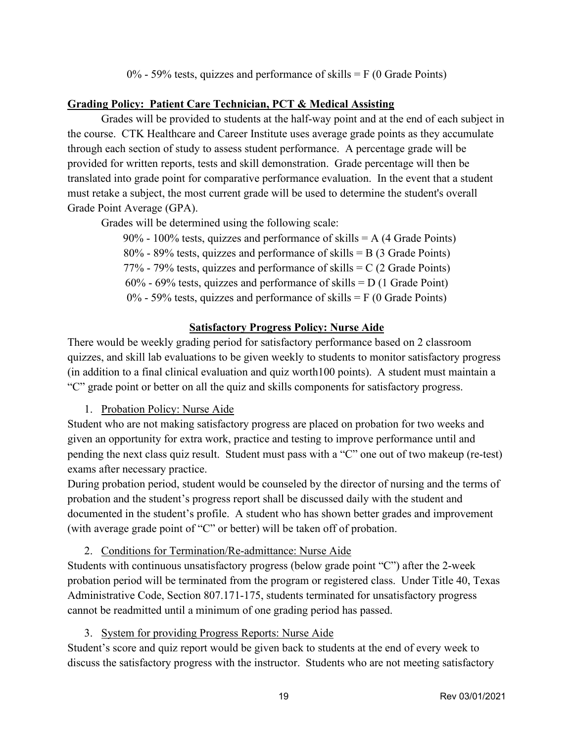0% - 59% tests, quizzes and performance of skills  $=$  F (0 Grade Points)

# **Grading Policy: Patient Care Technician, PCT & Medical Assisting**

Grades will be provided to students at the half-way point and at the end of each subject in the course. CTK Healthcare and Career Institute uses average grade points as they accumulate through each section of study to assess student performance. A percentage grade will be provided for written reports, tests and skill demonstration. Grade percentage will then be translated into grade point for comparative performance evaluation. In the event that a student must retake a subject, the most current grade will be used to determine the student's overall Grade Point Average (GPA).

Grades will be determined using the following scale:

90% - 100% tests, quizzes and performance of skills  $= A(4 \text{ Grade Points})$ 80% - 89% tests, quizzes and performance of skills = B (3 Grade Points) 77% - 79% tests, quizzes and performance of skills  $= C (2 \text{ Grade Points})$  $60\%$  - 69% tests, quizzes and performance of skills = D (1 Grade Point)  $0\%$  - 59% tests, quizzes and performance of skills = F (0 Grade Points)

# **Satisfactory Progress Policy: Nurse Aide**

There would be weekly grading period for satisfactory performance based on 2 classroom quizzes, and skill lab evaluations to be given weekly to students to monitor satisfactory progress (in addition to a final clinical evaluation and quiz worth100 points). A student must maintain a "C" grade point or better on all the quiz and skills components for satisfactory progress.

1. Probation Policy: Nurse Aide

Student who are not making satisfactory progress are placed on probation for two weeks and given an opportunity for extra work, practice and testing to improve performance until and pending the next class quiz result. Student must pass with a "C" one out of two makeup (re-test) exams after necessary practice.

During probation period, student would be counseled by the director of nursing and the terms of probation and the student's progress report shall be discussed daily with the student and documented in the student's profile. A student who has shown better grades and improvement (with average grade point of "C" or better) will be taken off of probation.

2. Conditions for Termination/Re-admittance: Nurse Aide

Students with continuous unsatisfactory progress (below grade point "C") after the 2-week probation period will be terminated from the program or registered class. Under Title 40, Texas Administrative Code, Section 807.171-175, students terminated for unsatisfactory progress cannot be readmitted until a minimum of one grading period has passed.

3. System for providing Progress Reports: Nurse Aide

Student's score and quiz report would be given back to students at the end of every week to discuss the satisfactory progress with the instructor. Students who are not meeting satisfactory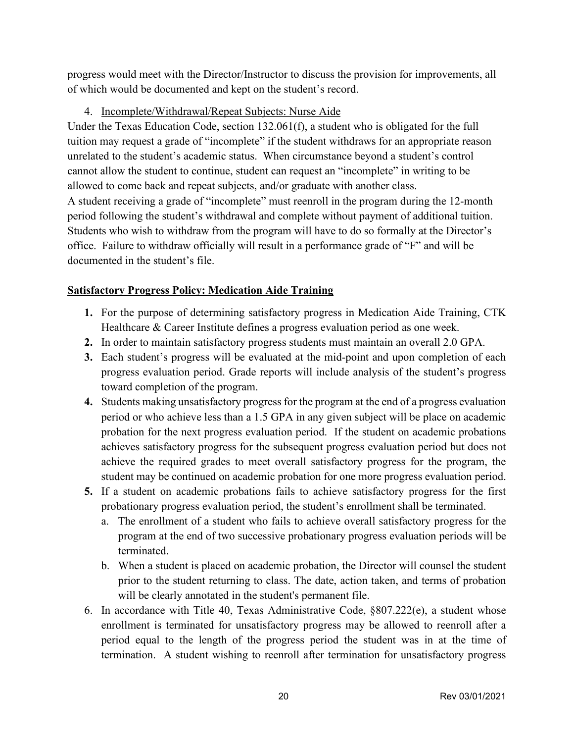progress would meet with the Director/Instructor to discuss the provision for improvements, all of which would be documented and kept on the student's record.

### 4. Incomplete/Withdrawal/Repeat Subjects: Nurse Aide

Under the Texas Education Code, section 132.061(f), a student who is obligated for the full tuition may request a grade of "incomplete" if the student withdraws for an appropriate reason unrelated to the student's academic status. When circumstance beyond a student's control cannot allow the student to continue, student can request an "incomplete" in writing to be allowed to come back and repeat subjects, and/or graduate with another class. A student receiving a grade of "incomplete" must reenroll in the program during the 12-month period following the student's withdrawal and complete without payment of additional tuition. Students who wish to withdraw from the program will have to do so formally at the Director's office. Failure to withdraw officially will result in a performance grade of "F" and will be documented in the student's file.

#### **Satisfactory Progress Policy: Medication Aide Training**

- **1.** For the purpose of determining satisfactory progress in Medication Aide Training, CTK Healthcare & Career Institute defines a progress evaluation period as one week.
- **2.** In order to maintain satisfactory progress students must maintain an overall 2.0 GPA.
- **3.** Each student's progress will be evaluated at the mid-point and upon completion of each progress evaluation period. Grade reports will include analysis of the student's progress toward completion of the program.
- **4.** Students making unsatisfactory progress for the program at the end of a progress evaluation period or who achieve less than a 1.5 GPA in any given subject will be place on academic probation for the next progress evaluation period. If the student on academic probations achieves satisfactory progress for the subsequent progress evaluation period but does not achieve the required grades to meet overall satisfactory progress for the program, the student may be continued on academic probation for one more progress evaluation period.
- **5.** If a student on academic probations fails to achieve satisfactory progress for the first probationary progress evaluation period, the student's enrollment shall be terminated.
	- a. The enrollment of a student who fails to achieve overall satisfactory progress for the program at the end of two successive probationary progress evaluation periods will be terminated.
	- b. When a student is placed on academic probation, the Director will counsel the student prior to the student returning to class. The date, action taken, and terms of probation will be clearly annotated in the student's permanent file.
- 6. In accordance with Title 40, Texas Administrative Code,  $807.222(e)$ , a student whose enrollment is terminated for unsatisfactory progress may be allowed to reenroll after a period equal to the length of the progress period the student was in at the time of termination. A student wishing to reenroll after termination for unsatisfactory progress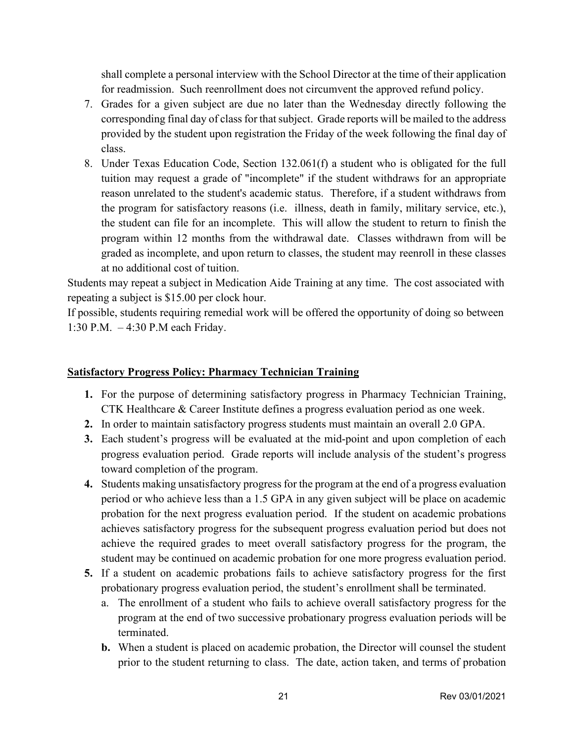shall complete a personal interview with the School Director at the time of their application for readmission. Such reenrollment does not circumvent the approved refund policy.

- 7. Grades for a given subject are due no later than the Wednesday directly following the corresponding final day of class for that subject. Grade reports will be mailed to the address provided by the student upon registration the Friday of the week following the final day of class.
- 8. Under Texas Education Code, Section 132.061(f) a student who is obligated for the full tuition may request a grade of "incomplete" if the student withdraws for an appropriate reason unrelated to the student's academic status. Therefore, if a student withdraws from the program for satisfactory reasons (i.e. illness, death in family, military service, etc.), the student can file for an incomplete. This will allow the student to return to finish the program within 12 months from the withdrawal date. Classes withdrawn from will be graded as incomplete, and upon return to classes, the student may reenroll in these classes at no additional cost of tuition.

Students may repeat a subject in Medication Aide Training at any time. The cost associated with repeating a subject is \$15.00 per clock hour.

If possible, students requiring remedial work will be offered the opportunity of doing so between 1:30 P.M. – 4:30 P.M each Friday.

### **Satisfactory Progress Policy: Pharmacy Technician Training**

- **1.** For the purpose of determining satisfactory progress in Pharmacy Technician Training, CTK Healthcare & Career Institute defines a progress evaluation period as one week.
- **2.** In order to maintain satisfactory progress students must maintain an overall 2.0 GPA.
- **3.** Each student's progress will be evaluated at the mid-point and upon completion of each progress evaluation period. Grade reports will include analysis of the student's progress toward completion of the program.
- **4.** Students making unsatisfactory progress for the program at the end of a progress evaluation period or who achieve less than a 1.5 GPA in any given subject will be place on academic probation for the next progress evaluation period. If the student on academic probations achieves satisfactory progress for the subsequent progress evaluation period but does not achieve the required grades to meet overall satisfactory progress for the program, the student may be continued on academic probation for one more progress evaluation period.
- **5.** If a student on academic probations fails to achieve satisfactory progress for the first probationary progress evaluation period, the student's enrollment shall be terminated.
	- a. The enrollment of a student who fails to achieve overall satisfactory progress for the program at the end of two successive probationary progress evaluation periods will be terminated.
	- **b.** When a student is placed on academic probation, the Director will counsel the student prior to the student returning to class. The date, action taken, and terms of probation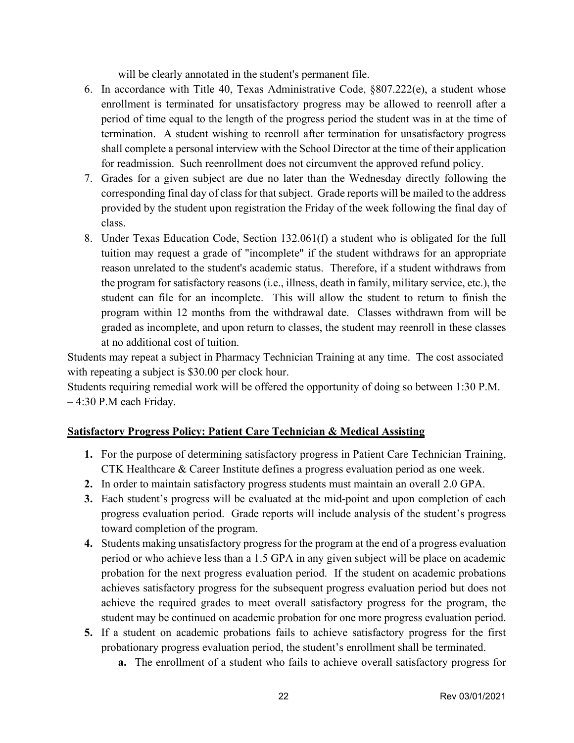will be clearly annotated in the student's permanent file.

- 6. In accordance with Title 40, Texas Administrative Code, §807.222(e), a student whose enrollment is terminated for unsatisfactory progress may be allowed to reenroll after a period of time equal to the length of the progress period the student was in at the time of termination. A student wishing to reenroll after termination for unsatisfactory progress shall complete a personal interview with the School Director at the time of their application for readmission. Such reenrollment does not circumvent the approved refund policy.
- 7. Grades for a given subject are due no later than the Wednesday directly following the corresponding final day of class for that subject. Grade reports will be mailed to the address provided by the student upon registration the Friday of the week following the final day of class.
- 8. Under Texas Education Code, Section 132.061(f) a student who is obligated for the full tuition may request a grade of "incomplete" if the student withdraws for an appropriate reason unrelated to the student's academic status. Therefore, if a student withdraws from the program for satisfactory reasons (i.e., illness, death in family, military service, etc.), the student can file for an incomplete. This will allow the student to return to finish the program within 12 months from the withdrawal date. Classes withdrawn from will be graded as incomplete, and upon return to classes, the student may reenroll in these classes at no additional cost of tuition.

Students may repeat a subject in Pharmacy Technician Training at any time. The cost associated with repeating a subject is \$30.00 per clock hour.

Students requiring remedial work will be offered the opportunity of doing so between 1:30 P.M. – 4:30 P.M each Friday.

### **Satisfactory Progress Policy: Patient Care Technician & Medical Assisting**

- **1.** For the purpose of determining satisfactory progress in Patient Care Technician Training, CTK Healthcare & Career Institute defines a progress evaluation period as one week.
- **2.** In order to maintain satisfactory progress students must maintain an overall 2.0 GPA.
- **3.** Each student's progress will be evaluated at the mid-point and upon completion of each progress evaluation period. Grade reports will include analysis of the student's progress toward completion of the program.
- **4.** Students making unsatisfactory progress for the program at the end of a progress evaluation period or who achieve less than a 1.5 GPA in any given subject will be place on academic probation for the next progress evaluation period. If the student on academic probations achieves satisfactory progress for the subsequent progress evaluation period but does not achieve the required grades to meet overall satisfactory progress for the program, the student may be continued on academic probation for one more progress evaluation period.
- **5.** If a student on academic probations fails to achieve satisfactory progress for the first probationary progress evaluation period, the student's enrollment shall be terminated.
	- **a.** The enrollment of a student who fails to achieve overall satisfactory progress for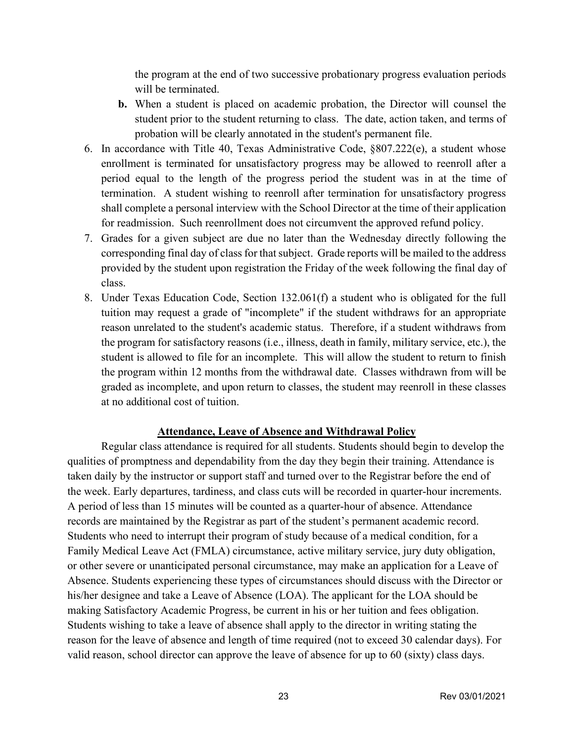the program at the end of two successive probationary progress evaluation periods will be terminated.

- **b.** When a student is placed on academic probation, the Director will counsel the student prior to the student returning to class. The date, action taken, and terms of probation will be clearly annotated in the student's permanent file.
- 6. In accordance with Title 40, Texas Administrative Code, §807.222(e), a student whose enrollment is terminated for unsatisfactory progress may be allowed to reenroll after a period equal to the length of the progress period the student was in at the time of termination. A student wishing to reenroll after termination for unsatisfactory progress shall complete a personal interview with the School Director at the time of their application for readmission. Such reenrollment does not circumvent the approved refund policy.
- 7. Grades for a given subject are due no later than the Wednesday directly following the corresponding final day of class for that subject. Grade reports will be mailed to the address provided by the student upon registration the Friday of the week following the final day of class.
- 8. Under Texas Education Code, Section 132.061(f) a student who is obligated for the full tuition may request a grade of "incomplete" if the student withdraws for an appropriate reason unrelated to the student's academic status. Therefore, if a student withdraws from the program for satisfactory reasons (i.e., illness, death in family, military service, etc.), the student is allowed to file for an incomplete. This will allow the student to return to finish the program within 12 months from the withdrawal date. Classes withdrawn from will be graded as incomplete, and upon return to classes, the student may reenroll in these classes at no additional cost of tuition.

#### **Attendance, Leave of Absence and Withdrawal Policy**

Regular class attendance is required for all students. Students should begin to develop the qualities of promptness and dependability from the day they begin their training. Attendance is taken daily by the instructor or support staff and turned over to the Registrar before the end of the week. Early departures, tardiness, and class cuts will be recorded in quarter-hour increments. A period of less than 15 minutes will be counted as a quarter-hour of absence. Attendance records are maintained by the Registrar as part of the student's permanent academic record. Students who need to interrupt their program of study because of a medical condition, for a Family Medical Leave Act (FMLA) circumstance, active military service, jury duty obligation, or other severe or unanticipated personal circumstance, may make an application for a Leave of Absence. Students experiencing these types of circumstances should discuss with the Director or his/her designee and take a Leave of Absence (LOA). The applicant for the LOA should be making Satisfactory Academic Progress, be current in his or her tuition and fees obligation. Students wishing to take a leave of absence shall apply to the director in writing stating the reason for the leave of absence and length of time required (not to exceed 30 calendar days). For valid reason, school director can approve the leave of absence for up to 60 (sixty) class days.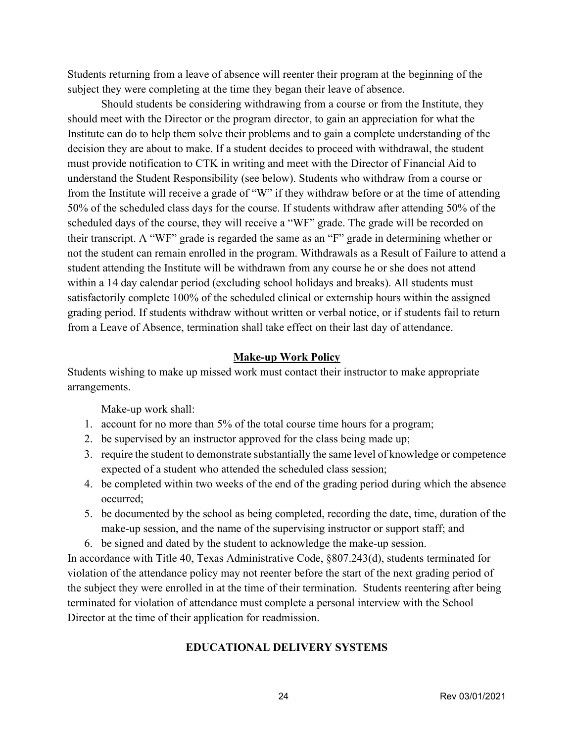Students returning from a leave of absence will reenter their program at the beginning of the subject they were completing at the time they began their leave of absence.

Should students be considering withdrawing from a course or from the Institute, they should meet with the Director or the program director, to gain an appreciation for what the Institute can do to help them solve their problems and to gain a complete understanding of the decision they are about to make. If a student decides to proceed with withdrawal, the student must provide notification to CTK in writing and meet with the Director of Financial Aid to understand the Student Responsibility (see below). Students who withdraw from a course or from the Institute will receive a grade of "W" if they withdraw before or at the time of attending 50% of the scheduled class days for the course. If students withdraw after attending 50% of the scheduled days of the course, they will receive a "WF" grade. The grade will be recorded on their transcript. A "WF" grade is regarded the same as an "F" grade in determining whether or not the student can remain enrolled in the program. Withdrawals as a Result of Failure to attend a student attending the Institute will be withdrawn from any course he or she does not attend within a 14 day calendar period (excluding school holidays and breaks). All students must satisfactorily complete 100% of the scheduled clinical or externship hours within the assigned grading period. If students withdraw without written or verbal notice, or if students fail to return from a Leave of Absence, termination shall take effect on their last day of attendance.

#### **Make-up Work Policy**

Students wishing to make up missed work must contact their instructor to make appropriate arrangements.

Make-up work shall:

- 1. account for no more than 5% of the total course time hours for a program;
- 2. be supervised by an instructor approved for the class being made up;
- 3. require the student to demonstrate substantially the same level of knowledge or competence expected of a student who attended the scheduled class session;
- 4. be completed within two weeks of the end of the grading period during which the absence occurred;
- 5. be documented by the school as being completed, recording the date, time, duration of the make-up session, and the name of the supervising instructor or support staff; and
- 6. be signed and dated by the student to acknowledge the make-up session.

In accordance with Title 40, Texas Administrative Code, §807.243(d), students terminated for violation of the attendance policy may not reenter before the start of the next grading period of the subject they were enrolled in at the time of their termination. Students reentering after being terminated for violation of attendance must complete a personal interview with the School Director at the time of their application for readmission.

#### **EDUCATIONAL DELIVERY SYSTEMS**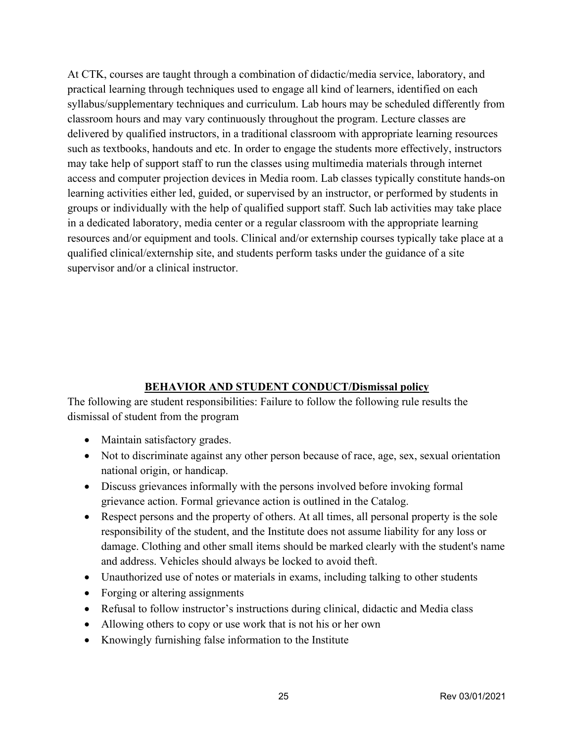At CTK, courses are taught through a combination of didactic/media service, laboratory, and practical learning through techniques used to engage all kind of learners, identified on each syllabus/supplementary techniques and curriculum. Lab hours may be scheduled differently from classroom hours and may vary continuously throughout the program. Lecture classes are delivered by qualified instructors, in a traditional classroom with appropriate learning resources such as textbooks, handouts and etc. In order to engage the students more effectively, instructors may take help of support staff to run the classes using multimedia materials through internet access and computer projection devices in Media room. Lab classes typically constitute hands-on learning activities either led, guided, or supervised by an instructor, or performed by students in groups or individually with the help of qualified support staff. Such lab activities may take place in a dedicated laboratory, media center or a regular classroom with the appropriate learning resources and/or equipment and tools. Clinical and/or externship courses typically take place at a qualified clinical/externship site, and students perform tasks under the guidance of a site supervisor and/or a clinical instructor.

### **BEHAVIOR AND STUDENT CONDUCT/Dismissal policy**

The following are student responsibilities: Failure to follow the following rule results the dismissal of student from the program

- Maintain satisfactory grades.
- Not to discriminate against any other person because of race, age, sex, sexual orientation national origin, or handicap.
- Discuss grievances informally with the persons involved before invoking formal grievance action. Formal grievance action is outlined in the Catalog.
- Respect persons and the property of others. At all times, all personal property is the sole responsibility of the student, and the Institute does not assume liability for any loss or damage. Clothing and other small items should be marked clearly with the student's name and address. Vehicles should always be locked to avoid theft.
- Unauthorized use of notes or materials in exams, including talking to other students
- Forging or altering assignments
- Refusal to follow instructor's instructions during clinical, didactic and Media class
- Allowing others to copy or use work that is not his or her own
- Knowingly furnishing false information to the Institute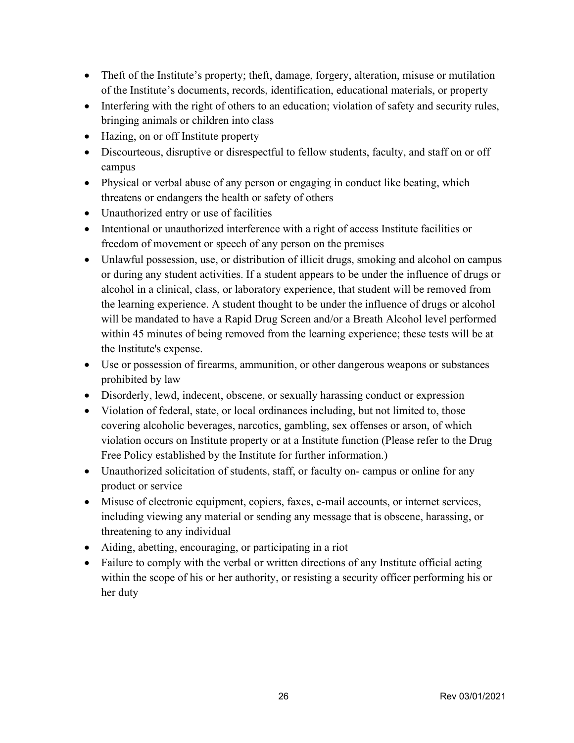- Theft of the Institute's property; theft, damage, forgery, alteration, misuse or mutilation of the Institute's documents, records, identification, educational materials, or property
- Interfering with the right of others to an education; violation of safety and security rules, bringing animals or children into class
- Hazing, on or off Institute property
- Discourteous, disruptive or disrespectful to fellow students, faculty, and staff on or off campus
- Physical or verbal abuse of any person or engaging in conduct like beating, which threatens or endangers the health or safety of others
- Unauthorized entry or use of facilities
- Intentional or unauthorized interference with a right of access Institute facilities or freedom of movement or speech of any person on the premises
- Unlawful possession, use, or distribution of illicit drugs, smoking and alcohol on campus or during any student activities. If a student appears to be under the influence of drugs or alcohol in a clinical, class, or laboratory experience, that student will be removed from the learning experience. A student thought to be under the influence of drugs or alcohol will be mandated to have a Rapid Drug Screen and/or a Breath Alcohol level performed within 45 minutes of being removed from the learning experience; these tests will be at the Institute's expense.
- Use or possession of firearms, ammunition, or other dangerous weapons or substances prohibited by law
- Disorderly, lewd, indecent, obscene, or sexually harassing conduct or expression
- Violation of federal, state, or local ordinances including, but not limited to, those covering alcoholic beverages, narcotics, gambling, sex offenses or arson, of which violation occurs on Institute property or at a Institute function (Please refer to the Drug Free Policy established by the Institute for further information.)
- Unauthorized solicitation of students, staff, or faculty on-campus or online for any product or service
- Misuse of electronic equipment, copiers, faxes, e-mail accounts, or internet services, including viewing any material or sending any message that is obscene, harassing, or threatening to any individual
- Aiding, abetting, encouraging, or participating in a riot
- Failure to comply with the verbal or written directions of any Institute official acting within the scope of his or her authority, or resisting a security officer performing his or her duty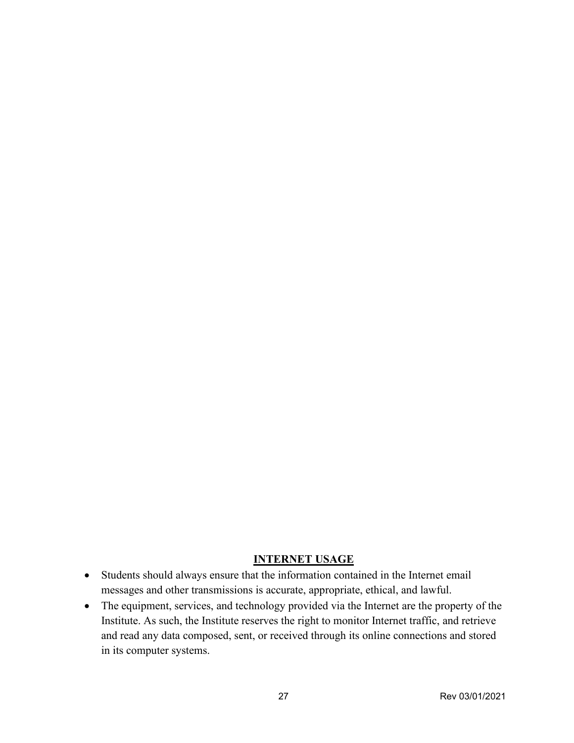# **INTERNET USAGE**

- Students should always ensure that the information contained in the Internet email messages and other transmissions is accurate, appropriate, ethical, and lawful.
- The equipment, services, and technology provided via the Internet are the property of the Institute. As such, the Institute reserves the right to monitor Internet traffic, and retrieve and read any data composed, sent, or received through its online connections and stored in its computer systems.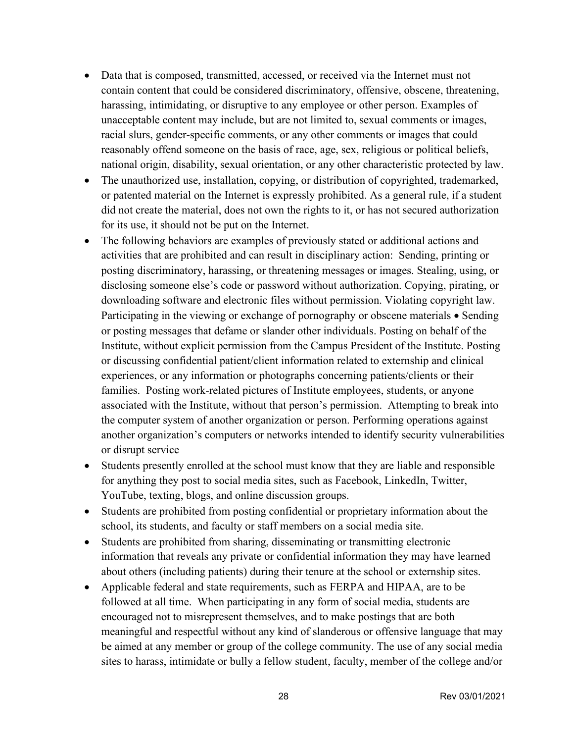- Data that is composed, transmitted, accessed, or received via the Internet must not contain content that could be considered discriminatory, offensive, obscene, threatening, harassing, intimidating, or disruptive to any employee or other person. Examples of unacceptable content may include, but are not limited to, sexual comments or images, racial slurs, gender-specific comments, or any other comments or images that could reasonably offend someone on the basis of race, age, sex, religious or political beliefs, national origin, disability, sexual orientation, or any other characteristic protected by law.
- The unauthorized use, installation, copying, or distribution of copyrighted, trademarked, or patented material on the Internet is expressly prohibited. As a general rule, if a student did not create the material, does not own the rights to it, or has not secured authorization for its use, it should not be put on the Internet.
- The following behaviors are examples of previously stated or additional actions and activities that are prohibited and can result in disciplinary action: Sending, printing or posting discriminatory, harassing, or threatening messages or images. Stealing, using, or disclosing someone else's code or password without authorization. Copying, pirating, or downloading software and electronic files without permission. Violating copyright law. Participating in the viewing or exchange of pornography or obscene materials • Sending or posting messages that defame or slander other individuals. Posting on behalf of the Institute, without explicit permission from the Campus President of the Institute. Posting or discussing confidential patient/client information related to externship and clinical experiences, or any information or photographs concerning patients/clients or their families. Posting work-related pictures of Institute employees, students, or anyone associated with the Institute, without that person's permission. Attempting to break into the computer system of another organization or person. Performing operations against another organization's computers or networks intended to identify security vulnerabilities or disrupt service
- Students presently enrolled at the school must know that they are liable and responsible for anything they post to social media sites, such as Facebook, LinkedIn, Twitter, YouTube, texting, blogs, and online discussion groups.
- Students are prohibited from posting confidential or proprietary information about the school, its students, and faculty or staff members on a social media site.
- Students are prohibited from sharing, disseminating or transmitting electronic information that reveals any private or confidential information they may have learned about others (including patients) during their tenure at the school or externship sites.
- Applicable federal and state requirements, such as FERPA and HIPAA, are to be followed at all time. When participating in any form of social media, students are encouraged not to misrepresent themselves, and to make postings that are both meaningful and respectful without any kind of slanderous or offensive language that may be aimed at any member or group of the college community. The use of any social media sites to harass, intimidate or bully a fellow student, faculty, member of the college and/or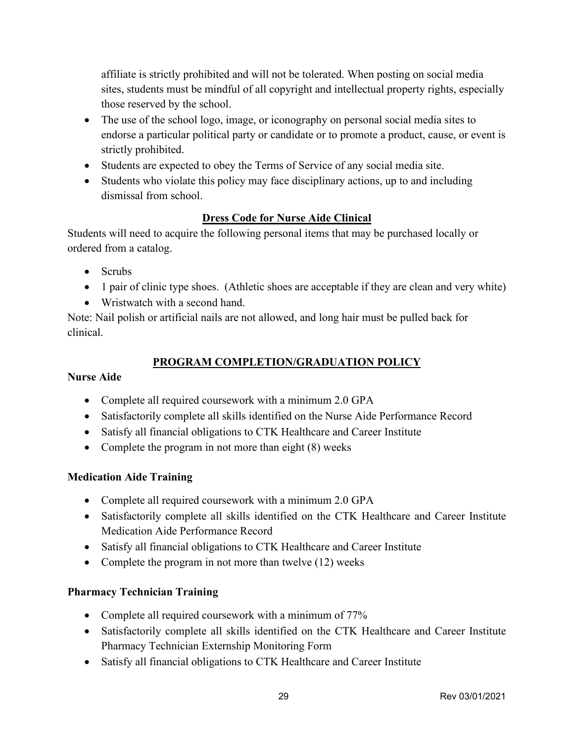affiliate is strictly prohibited and will not be tolerated. When posting on social media sites, students must be mindful of all copyright and intellectual property rights, especially those reserved by the school.

- The use of the school logo, image, or iconography on personal social media sites to endorse a particular political party or candidate or to promote a product, cause, or event is strictly prohibited.
- Students are expected to obey the Terms of Service of any social media site.
- Students who violate this policy may face disciplinary actions, up to and including dismissal from school.

# **Dress Code for Nurse Aide Clinical**

Students will need to acquire the following personal items that may be purchased locally or ordered from a catalog.

- Scrubs
- 1 pair of clinic type shoes. (Athletic shoes are acceptable if they are clean and very white)
- Wristwatch with a second hand.

Note: Nail polish or artificial nails are not allowed, and long hair must be pulled back for clinical.

# **PROGRAM COMPLETION/GRADUATION POLICY**

# **Nurse Aide**

- Complete all required coursework with a minimum 2.0 GPA
- Satisfactorily complete all skills identified on the Nurse Aide Performance Record
- Satisfy all financial obligations to CTK Healthcare and Career Institute
- Complete the program in not more than eight (8) weeks

# **Medication Aide Training**

- Complete all required coursework with a minimum 2.0 GPA
- Satisfactorily complete all skills identified on the CTK Healthcare and Career Institute Medication Aide Performance Record
- Satisfy all financial obligations to CTK Healthcare and Career Institute
- Complete the program in not more than twelve (12) weeks

# **Pharmacy Technician Training**

- Complete all required coursework with a minimum of 77%
- Satisfactorily complete all skills identified on the CTK Healthcare and Career Institute Pharmacy Technician Externship Monitoring Form
- Satisfy all financial obligations to CTK Healthcare and Career Institute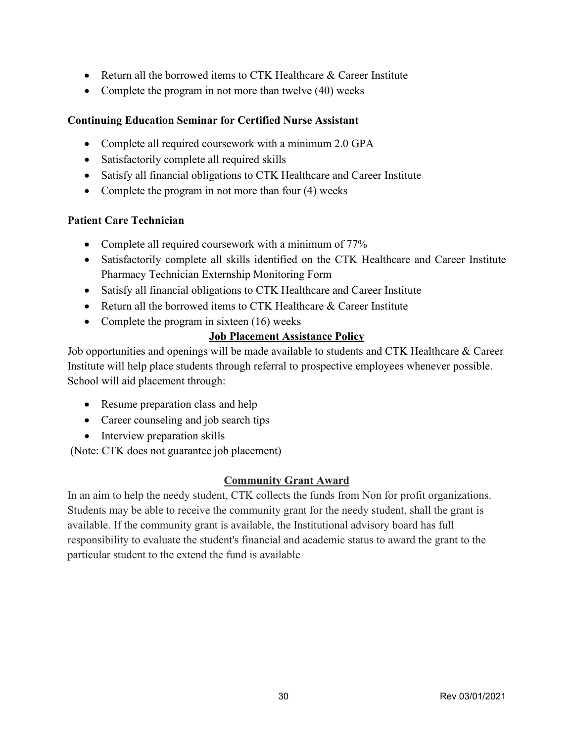- Return all the borrowed items to CTK Healthcare & Career Institute
- Complete the program in not more than twelve (40) weeks

# **Continuing Education Seminar for Certified Nurse Assistant**

- Complete all required coursework with a minimum 2.0 GPA
- Satisfactorily complete all required skills
- Satisfy all financial obligations to CTK Healthcare and Career Institute
- Complete the program in not more than four (4) weeks

### **Patient Care Technician**

- Complete all required coursework with a minimum of 77%
- Satisfactorily complete all skills identified on the CTK Healthcare and Career Institute Pharmacy Technician Externship Monitoring Form
- Satisfy all financial obligations to CTK Healthcare and Career Institute
- Return all the borrowed items to CTK Healthcare & Career Institute
- Complete the program in sixteen (16) weeks

# **Job Placement Assistance Policy**

Job opportunities and openings will be made available to students and CTK Healthcare & Career Institute will help place students through referral to prospective employees whenever possible. School will aid placement through:

- Resume preparation class and help
- Career counseling and job search tips
- Interview preparation skills

(Note: CTK does not guarantee job placement)

### **Community Grant Award**

In an aim to help the needy student, CTK collects the funds from Non for profit organizations. Students may be able to receive the community grant for the needy student, shall the grant is available. If the community grant is available, the Institutional advisory board has full responsibility to evaluate the student's financial and academic status to award the grant to the particular student to the extend the fund is available